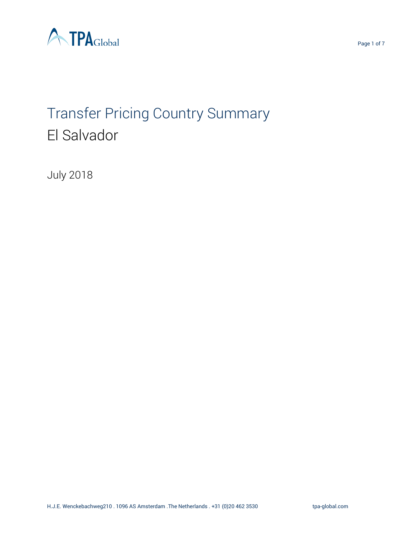

# Transfer Pricing Country Summary El Salvador

July 2018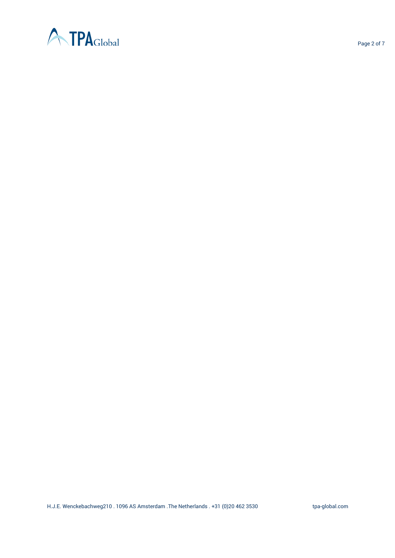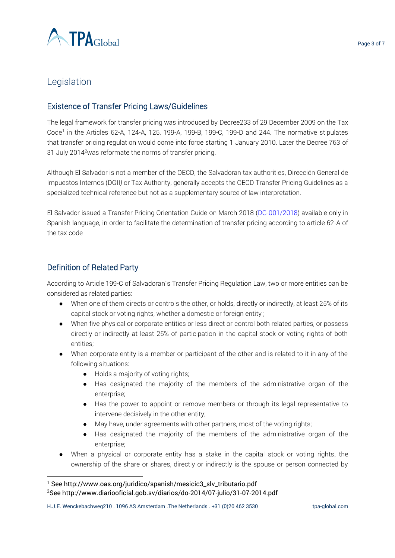

# Legislation

#### Existence of Transfer Pricing Laws/Guidelines

The legal framework for transfer pricing was introduced by Decree233 of 29 December 2009 on the Tax Code<sup>1</sup> in the Articles 62-A, 124-A, 125, 199-A, 199-B, 199-C, 199-D and 244. The normative stipulates that transfer pricing regulation would come into force starting 1 January 2010. Later the Decree 763 of 31 July 2014<sup>2</sup>was reformate the norms of transfer pricing.

Although El Salvador is not a member of the OECD, the Salvadoran tax authorities*,* Dirección General de Impuestos Internos (DGII*)* or Tax Authority, generally accepts the OECD Transfer Pricing Guidelines as a specialized technical reference but not as a supplementary source of law interpretation.

El Salvador issued a Transfer Pricing Orientation Guide on March 2018 [\(DG-001/2018\)](http://www.transparenciafiscal.gob.sv/downloads/pdf/700-DGII-GA-2018-01234.pdf) available only in Spanish language, in order to facilitate the determination of transfer pricing according to article 62-A of the tax code

#### Definition of Related Party

 $\overline{\phantom{a}}$ 

According to Article 199-C of Salvadoran´s Transfer Pricing Regulation Law, two or more entities can be considered as related parties:

- When one of them directs or controls the other, or holds, directly or indirectly, at least 25% of its capital stock or voting rights, whether a domestic or foreign entity ;
- When five physical or corporate entities or less direct or control both related parties, or possess directly or indirectly at least 25% of participation in the capital stock or voting rights of both entities;
- When corporate entity is a member or participant of the other and is related to it in any of the following situations:
	- Holds a majority of voting rights;
	- Has designated the majority of the members of the administrative organ of the enterprise;
	- Has the power to appoint or remove members or through its legal representative to intervene decisively in the other entity;
	- May have, under agreements with other partners, most of the voting rights;
	- Has designated the majority of the members of the administrative organ of the enterprise;
- When a physical or corporate entity has a stake in the capital stock or voting rights, the ownership of the share or shares, directly or indirectly is the spouse or person connected by

<sup>&</sup>lt;sup>1</sup> See http://www.oas.org/juridico/spanish/mesicic3\_slv\_tributario.pdf 2See http://www.diariooficial.gob.sv/diarios/do-2014/07-julio/31-07-2014.pdf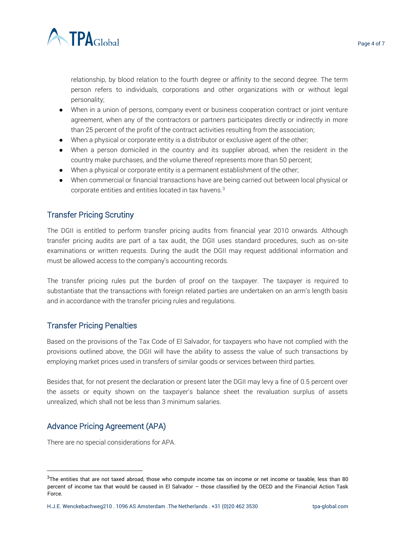

- When in a union of persons, company event or business cooperation contract or joint venture agreement, when any of the contractors or partners participates directly or indirectly in more than 25 percent of the profit of the contract activities resulting from the association;
- When a physical or corporate entity is a distributor or exclusive agent of the other;
- When a person domiciled in the country and its supplier abroad, when the resident in the country make purchases, and the volume thereof represents more than 50 percent;
- When a physical or corporate entity is a permanent establishment of the other;
- When commercial or financial transactions have are being carried out between local physical or corporate entities and entities located in tax havens.<sup>3</sup>

#### Transfer Pricing Scrutiny

The DGII is entitled to perform transfer pricing audits from financial year 2010 onwards. Although transfer pricing audits are part of a tax audit, the DGII uses standard procedures, such as on-site examinations or written requests. During the audit the DGII may request additional information and must be allowed access to the company's accounting records.

The transfer pricing rules put the burden of proof on the taxpayer. The taxpayer is required to substantiate that the transactions with foreign related parties are undertaken on an arm's length basis and in accordance with the transfer pricing rules and regulations.

#### Transfer Pricing Penalties

Based on the provisions of the Tax Code of El Salvador, for taxpayers who have not complied with the provisions outlined above, the DGII will have the ability to assess the value of such transactions by employing market prices used in transfers of similar goods or services between third parties.

Besides that, for not present the declaration or present later the DGII may levy a fine of 0.5 percent over the assets or equity shown on the taxpayer's balance sheet the revaluation surplus of assets unrealized, which shall not be less than 3 minimum salaries.

# Advance Pricing Agreement (APA)

 $\overline{a}$ 

There are no special considerations for APA.

 $3$ The entities that are not taxed abroad, those who compute income tax on income or net income or taxable, less than 80 percent of income tax that would be caused in El Salvador – those classified by the OECD and the Financial Action Task Force.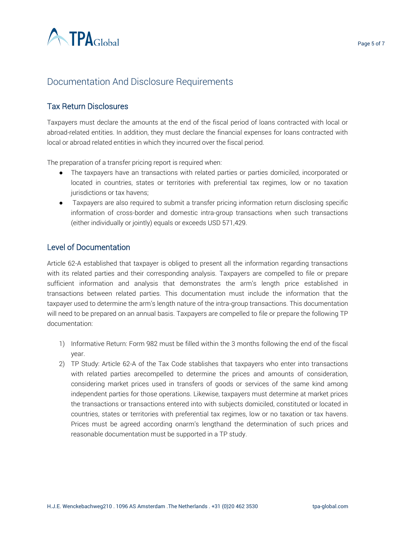# **A** TPAGlobal

#### Tax Return Disclosures

Taxpayers must declare the amounts at the end of the fiscal period of loans contracted with local or abroad-related entities. In addition, they must declare the financial expenses for loans contracted with local or abroad related entities in which they incurred over the fiscal period.

The preparation of a transfer pricing report is required when:

- The taxpayers have an transactions with related parties or parties domiciled, incorporated or located in countries, states or territories with preferential tax regimes, low or no taxation jurisdictions or tax havens;
- Taxpayers are also required to submit a transfer pricing information return disclosing specific information of cross-border and domestic intra-group transactions when such transactions (either individually or jointly) equals or exceeds USD 571,429.

#### Level of Documentation

Article 62-A established that taxpayer is obliged to present all the information regarding transactions with its related parties and their corresponding analysis. Taxpayers are compelled to file or prepare sufficient information and analysis that demonstrates the arm's length price established in transactions between related parties. This documentation must include the information that the taxpayer used to determine the arm's length nature of the intra-group transactions. This documentation will need to be prepared on an annual basis. Taxpayers are compelled to file or prepare the following TP documentation:

- 1) Informative Return: Form 982 must be filled within the 3 months following the end of the fiscal year.
- 2) TP Study: Article 62-A of the Tax Code stablishes that taxpayers who enter into transactions with related parties arecompelled to determine the prices and amounts of consideration, considering market prices used in transfers of goods or services of the same kind among independent parties for those operations. Likewise, taxpayers must determine at market prices the transactions or transactions entered into with subjects domiciled, constituted or located in countries, states or territories with preferential tax regimes, low or no taxation or tax havens. Prices must be agreed according onarm's lengthand the determination of such prices and reasonable documentation must be supported in a TP study.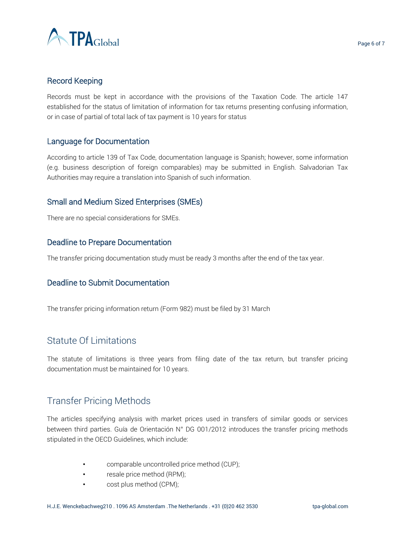

#### Record Keeping

Records must be kept in accordance with the provisions of the Taxation Code. The article 147 established for the status of limitation of information for tax returns presenting confusing information, or in case of partial of total lack of tax payment is 10 years for status

#### Language for Documentation

According to article 139 of Tax Code, documentation language is Spanish; however, some information (e.g. business description of foreign comparables) may be submitted in English. Salvadorian Tax Authorities may require a translation into Spanish of such information.

#### Small and Medium Sized Enterprises (SMEs)

There are no special considerations for SMEs.

#### Deadline to Prepare Documentation

The transfer pricing documentation study must be ready 3 months after the end of the tax year.

#### Deadline to Submit Documentation

The transfer pricing information return (Form 982) must be filed by 31 March

# Statute Of Limitations

The statute of limitations is three years from filing date of the tax return, but transfer pricing documentation must be maintained for 10 years.

# Transfer Pricing Methods

The articles specifying analysis with market prices used in transfers of similar goods or services between third parties. Guía de Orientación N° DG 001/2012 introduces the transfer pricing methods stipulated in the OECD Guidelines, which include:

- comparable uncontrolled price method (CUP);
- resale price method (RPM);
- cost plus method (CPM);